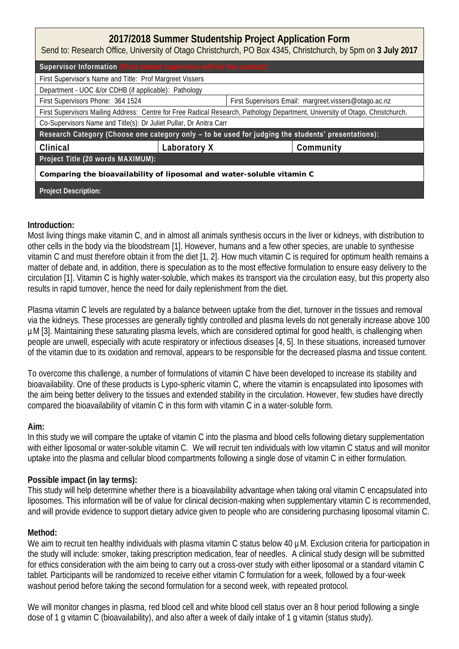| 2017/2018 Summer Studentship Project Application Form<br>Send to: Research Office, University of Otago Christchurch, PO Box 4345, Christchurch, by 5pm on 3 July 2017 |                                                       |  |  |
|-----------------------------------------------------------------------------------------------------------------------------------------------------------------------|-------------------------------------------------------|--|--|
| Supervisor Information (First named supervisor will be the contact):                                                                                                  |                                                       |  |  |
| First Supervisor's Name and Title: Prof Margreet Vissers                                                                                                              |                                                       |  |  |
| Department - UOC &/or CDHB (if applicable): Pathology                                                                                                                 |                                                       |  |  |
| First Supervisors Phone: 364 1524                                                                                                                                     | First Supervisors Email: margreet.vissers@otago.ac.nz |  |  |
| First Supervisors Mailing Address: Centre for Free Radical Research, Pathology Department, University of Otago, Christchurch.                                         |                                                       |  |  |
| Co-Supervisors Name and Title(s): Dr Juliet Pullar, Dr Anitra Carr                                                                                                    |                                                       |  |  |
| Research Category (Choose one category only - to be used for judging the students' presentations):                                                                    |                                                       |  |  |
| Clinical<br>Laboratory X                                                                                                                                              | Community                                             |  |  |
| Project Title (20 words MAXIMUM):                                                                                                                                     |                                                       |  |  |
| Comparing the bioavailability of liposomal and water-soluble vitamin C                                                                                                |                                                       |  |  |
| Project Description:                                                                                                                                                  |                                                       |  |  |

## **Introduction:**

Most living things make vitamin C, and in almost all animals synthesis occurs in the liver or kidneys, with distribution to other cells in the body via the bloodstream [1]. However, humans and a few other species, are unable to synthesise vitamin C and must therefore obtain it from the diet [1, 2]. How much vitamin C is required for optimum health remains a matter of debate and, in addition, there is speculation as to the most effective formulation to ensure easy delivery to the circulation [1]. Vitamin C is highly water-soluble, which makes its transport via the circulation easy, but this property also results in rapid turnover, hence the need for daily replenishment from the diet.

Plasma vitamin C levels are regulated by a balance between uptake from the diet, turnover in the tissues and removal via the kidneys. These processes are generally tightly controlled and plasma levels do not generally increase above 100 µM [3]. Maintaining these saturating plasma levels, which are considered optimal for good health, is challenging when people are unwell, especially with acute respiratory or infectious diseases [4, 5]. In these situations, increased turnover of the vitamin due to its oxidation and removal, appears to be responsible for the decreased plasma and tissue content.

To overcome this challenge, a number of formulations of vitamin C have been developed to increase its stability and bioavailability. One of these products is Lypo-spheric vitamin C, where the vitamin is encapsulated into liposomes with the aim being better delivery to the tissues and extended stability in the circulation. However, few studies have directly compared the bioavailability of vitamin C in this form with vitamin C in a water-soluble form.

## **Aim:**

In this study we will compare the uptake of vitamin C into the plasma and blood cells following dietary supplementation with either liposomal or water-soluble vitamin C. We will recruit ten individuals with low vitamin C status and will monitor uptake into the plasma and cellular blood compartments following a single dose of vitamin C in either formulation.

## **Possible impact (in lay terms):**

This study will help determine whether there is a bioavailability advantage when taking oral vitamin C encapsulated into liposomes. This information will be of value for clinical decision-making when supplementary vitamin C is recommended, and will provide evidence to support dietary advice given to people who are considering purchasing liposomal vitamin C.

#### **Method:**

We aim to recruit ten healthy individuals with plasma vitamin C status below 40 µM. Exclusion criteria for participation in the study will include: smoker, taking prescription medication, fear of needles. A clinical study design will be submitted for ethics consideration with the aim being to carry out a cross-over study with either liposomal or a standard vitamin C tablet. Participants will be randomized to receive either vitamin C formulation for a week, followed by a four-week washout period before taking the second formulation for a second week, with repeated protocol.

We will monitor changes in plasma, red blood cell and white blood cell status over an 8 hour period following a single dose of 1 g vitamin C (bioavailability), and also after a week of daily intake of 1 g vitamin (status study).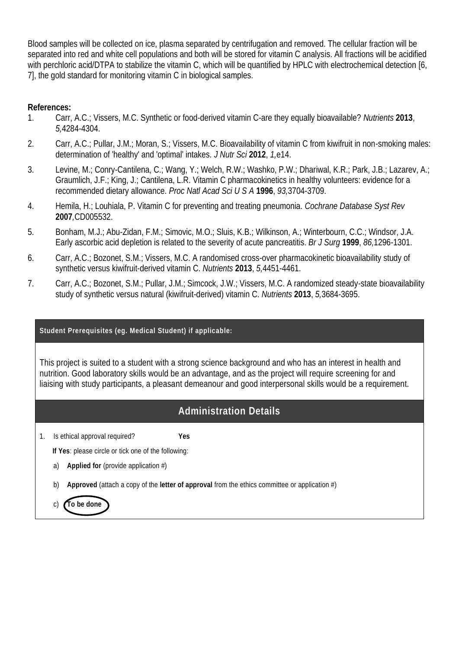Blood samples will be collected on ice, plasma separated by centrifugation and removed. The cellular fraction will be separated into red and white cell populations and both will be stored for vitamin C analysis. All fractions will be acidified with perchloric acid/DTPA to stabilize the vitamin C, which will be quantified by HPLC with electrochemical detection [6, 7], the gold standard for monitoring vitamin C in biological samples.

**References:** 

- 1. Carr, A.C.; Vissers, M.C. Synthetic or food-derived vitamin C-are they equally bioavailable? *Nutrients* **2013**, *5,*4284-4304.
- 2. Carr, A.C.; Pullar, J.M.; Moran, S.; Vissers, M.C. Bioavailability of vitamin C from kiwifruit in non-smoking males: determination of 'healthy' and 'optimal' intakes. *J Nutr Sci* **2012**, *1,*e14.
- 3. Levine, M.; Conry-Cantilena, C.; Wang, Y.; Welch, R.W.; Washko, P.W.; Dhariwal, K.R.; Park, J.B.; Lazarev, A.; Graumlich, J.F.; King, J.; Cantilena, L.R. Vitamin C pharmacokinetics in healthy volunteers: evidence for a recommended dietary allowance. *Proc Natl Acad Sci U S A* **1996**, *93,*3704-3709.
- 4. Hemila, H.; Louhiala, P. Vitamin C for preventing and treating pneumonia. *Cochrane Database Syst Rev*  **2007***,*CD005532.
- 5. Bonham, M.J.; Abu-Zidan, F.M.; Simovic, M.O.; Sluis, K.B.; Wilkinson, A.; Winterbourn, C.C.; Windsor, J.A. Early ascorbic acid depletion is related to the severity of acute pancreatitis. *Br J Surg* **1999**, *86,*1296-1301.
- 6. Carr, A.C.; Bozonet, S.M.; Vissers, M.C. A randomised cross-over pharmacokinetic bioavailability study of synthetic versus kiwifruit-derived vitamin C. *Nutrients* **2013**, *5,*4451-4461.
- 7. Carr, A.C.; Bozonet, S.M.; Pullar, J.M.; Simcock, J.W.; Vissers, M.C. A randomized steady-state bioavailability study of synthetic versus natural (kiwifruit-derived) vitamin C. *Nutrients* **2013**, *5,*3684-3695.

#### **Student Prerequisites (eg. Medical Student) if applicable:**

This project is suited to a student with a strong science background and who has an interest in health and nutrition. Good laboratory skills would be an advantage, and as the project will require screening for and liaising with study participants, a pleasant demeanour and good interpersonal skills would be a requirement.

# **Administration Details**

1. Is ethical approval required? **Yes**

**If Yes**: please circle or tick one of the following:

- a) **Applied for** (provide application #)
- b) **Approved** (attach a copy of the **letter of approval** from the ethics committee or application #)